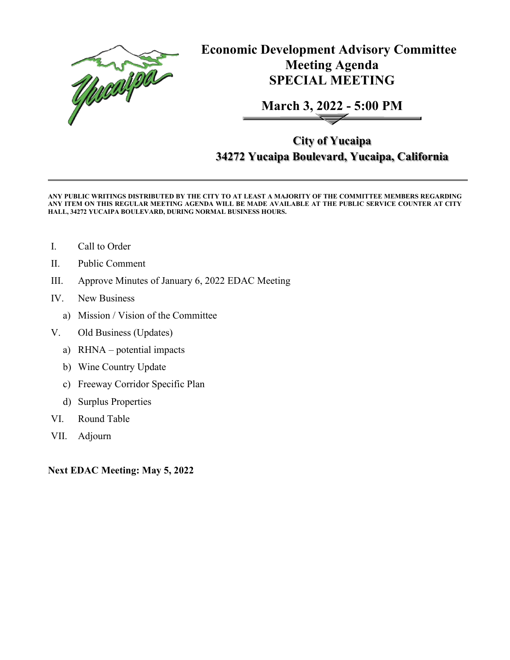

**Economic Development Advisory Committee Meeting Agenda SPECIAL MEETING**

**March 3, 2022 - 5:00 PM**

**City of Yucaipa 34272 Yucaipa Boulevard, Yucaipa, California**

**ANY PUBLIC WRITINGS DISTRIBUTED BY THE CITY TO AT LEAST A MAJORITY OF THE COMMITTEE MEMBERS REGARDING ANY ITEM ON THIS REGULAR MEETING AGENDA WILL BE MADE AVAILABLE AT THE PUBLIC SERVICE COUNTER AT CITY HALL, 34272 YUCAIPA BOULEVARD, DURING NORMAL BUSINESS HOURS.** 

- I. Call to Order
- II. Public Comment
- III. Approve Minutes of January 6, 2022 EDAC Meeting
- IV. New Business
	- a) Mission / Vision of the Committee
- V. Old Business (Updates)
	- a) RHNA potential impacts
	- b) Wine Country Update
	- c) Freeway Corridor Specific Plan
	- d) Surplus Properties
- VI. Round Table
- VII. Adjourn

**Next EDAC Meeting: May 5, 2022**